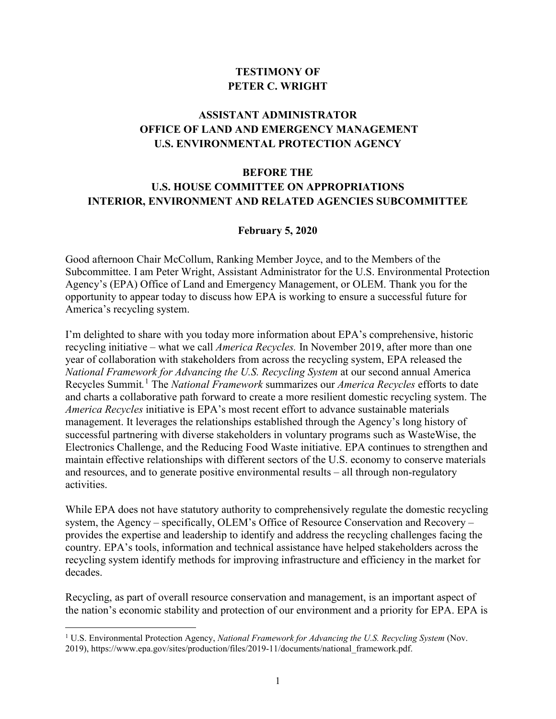## **TESTIMONY OF PETER C. WRIGHT**

## **ASSISTANT ADMINISTRATOR OFFICE OF LAND AND EMERGENCY MANAGEMENT U.S. ENVIRONMENTAL PROTECTION AGENCY**

## **BEFORE THE U.S. HOUSE COMMITTEE ON APPROPRIATIONS INTERIOR, ENVIRONMENT AND RELATED AGENCIES SUBCOMMITTEE**

## **February 5, 2020**

Good afternoon Chair McCollum, Ranking Member Joyce, and to the Members of the Subcommittee. I am Peter Wright, Assistant Administrator for the U.S. Environmental Protection Agency's (EPA) Office of Land and Emergency Management, or OLEM. Thank you for the opportunity to appear today to discuss how EPA is working to ensure a successful future for America's recycling system.

I'm delighted to share with you today more information about EPA's comprehensive, historic recycling initiative – what we call *America Recycles.* In November 2019, after more than one year of collaboration with stakeholders from across the recycling system, EPA released the *National Framework for Advancing the U.S. Recycling System* at our second annual America Recycles Summit*.* [1](#page-0-0) The *National Framework* summarizes our *America Recycles* efforts to date and charts a collaborative path forward to create a more resilient domestic recycling system. The *America Recycles* initiative is EPA's most recent effort to advance sustainable materials management. It leverages the relationships established through the Agency's long history of successful partnering with diverse stakeholders in voluntary programs such as WasteWise, the Electronics Challenge, and the Reducing Food Waste initiative. EPA continues to strengthen and maintain effective relationships with different sectors of the U.S. economy to conserve materials and resources, and to generate positive environmental results – all through non-regulatory activities.

While EPA does not have statutory authority to comprehensively regulate the domestic recycling system, the Agency – specifically, OLEM's Office of Resource Conservation and Recovery – provides the expertise and leadership to identify and address the recycling challenges facing the country. EPA's tools, information and technical assistance have helped stakeholders across the recycling system identify methods for improving infrastructure and efficiency in the market for decades.

Recycling, as part of overall resource conservation and management, is an important aspect of the nation's economic stability and protection of our environment and a priority for EPA. EPA is

l

<span id="page-0-0"></span><sup>1</sup> U.S. Environmental Protection Agency, *National Framework for Advancing the U.S. Recycling System* (Nov. 2019), [https://www.epa.gov/sites/production/files/2019-11/documents/national\\_framework.pdf.](https://www.epa.gov/sites/production/files/2019-11/documents/national_framework.pdf)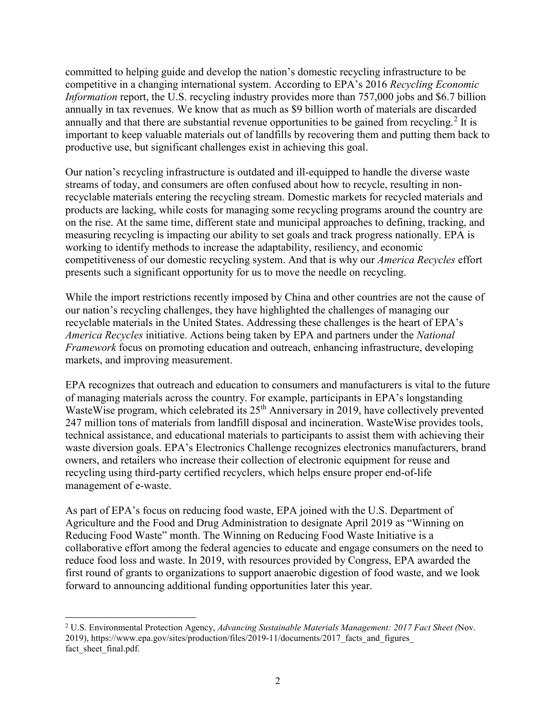committed to helping guide and develop the nation's domestic recycling infrastructure to be competitive in a changing international system. According to EPA's 2016 *Recycling Economic Information* report, the U.S. recycling industry provides more than 757,000 jobs and \$6.7 billion annually in tax revenues. We know that as much as \$9 billion worth of materials are discarded annually and that there are substantial revenue opportunities to be gained from recycling.<sup>[2](#page-1-0)</sup> It is important to keep valuable materials out of landfills by recovering them and putting them back to productive use, but significant challenges exist in achieving this goal.

Our nation's recycling infrastructure is outdated and ill-equipped to handle the diverse waste streams of today, and consumers are often confused about how to recycle, resulting in nonrecyclable materials entering the recycling stream. Domestic markets for recycled materials and products are lacking, while costs for managing some recycling programs around the country are on the rise. At the same time, different state and municipal approaches to defining, tracking, and measuring recycling is impacting our ability to set goals and track progress nationally. EPA is working to identify methods to increase the adaptability, resiliency, and economic competitiveness of our domestic recycling system. And that is why our *America Recycles* effort presents such a significant opportunity for us to move the needle on recycling.

While the import restrictions recently imposed by China and other countries are not the cause of our nation's recycling challenges, they have highlighted the challenges of managing our recyclable materials in the United States. Addressing these challenges is the heart of EPA's *America Recycles* initiative. Actions being taken by EPA and partners under the *National Framework* focus on promoting education and outreach, enhancing infrastructure, developing markets, and improving measurement.

EPA recognizes that outreach and education to consumers and manufacturers is vital to the future of managing materials across the country. For example, participants in EPA's longstanding WasteWise program, which celebrated its 25<sup>th</sup> Anniversary in 2019, have collectively prevented 247 million tons of materials from landfill disposal and incineration. WasteWise provides tools, technical assistance, and educational materials to participants to assist them with achieving their waste diversion goals. EPA's Electronics Challenge recognizes electronics manufacturers, brand owners, and retailers who increase their collection of electronic equipment for reuse and recycling using third-party certified recyclers, which helps ensure proper end-of-life management of e-waste.

As part of EPA's focus on reducing food waste, EPA joined with the U.S. Department of Agriculture and the Food and Drug Administration to designate April 2019 as "Winning on Reducing Food Waste" month. The Winning on Reducing Food Waste Initiative is a collaborative effort among the federal agencies to educate and engage consumers on the need to reduce food loss and waste. In 2019, with resources provided by Congress, EPA awarded the first round of grants to organizations to support anaerobic digestion of food waste, and we look forward to announcing additional funding opportunities later this year.

l

<span id="page-1-0"></span><sup>2</sup> U.S. Environmental Protection Agency, *Advancing Sustainable Materials Management: 2017 Fact Sheet (*Nov. 2019), https://www.epa.gov/sites/production/files/2019-11/documents/2017\_facts\_and\_figures\_ fact sheet final.pdf.